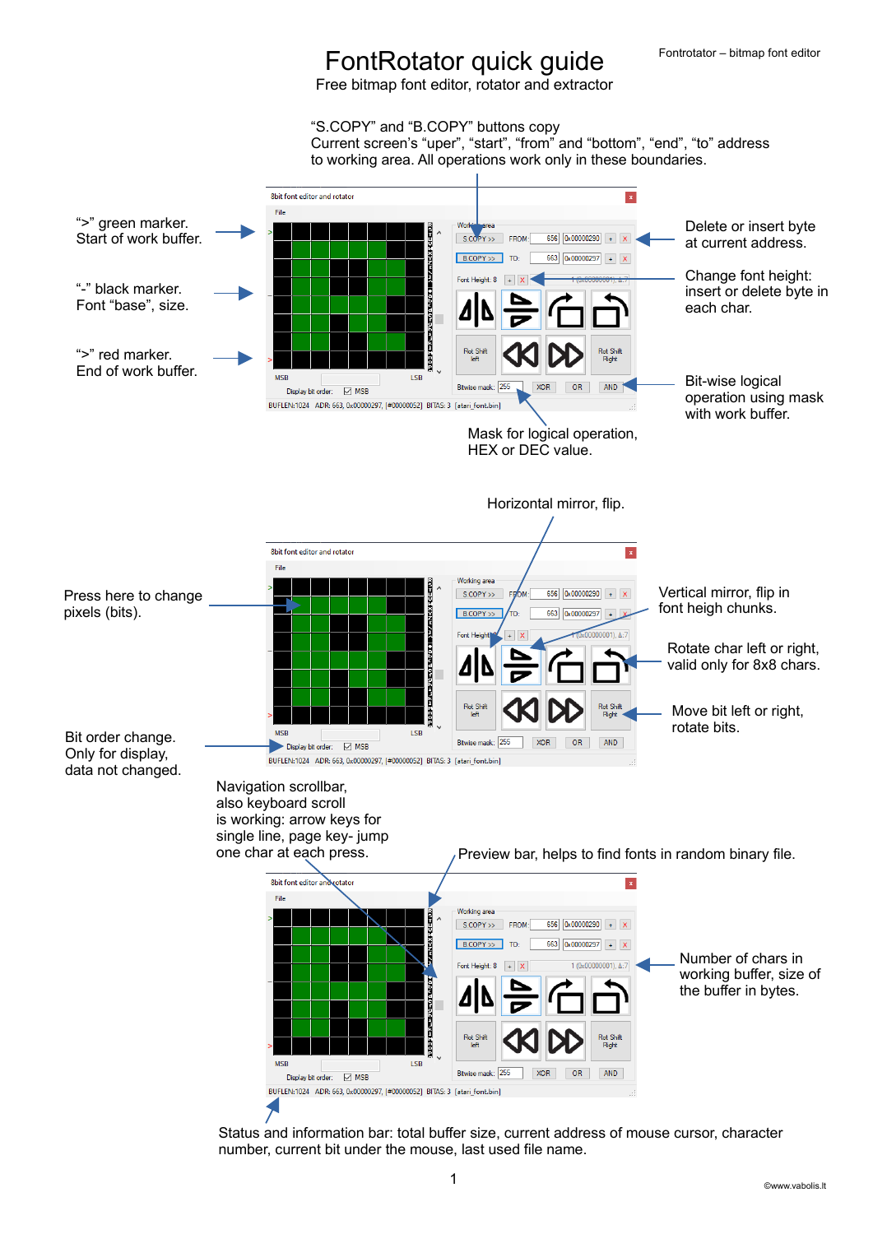## FontRotator quick guide

Free bitmap font editor, rotator and extractor

"S.COPY" and "B.COPY" buttons copy

Current screen's "uper", "start", "from" and "bottom", "end", "to" address to working area. All operations work only in these boundaries.



Status and information bar: total buffer size, current address of mouse cursor, character number, current bit under the mouse, last used file name.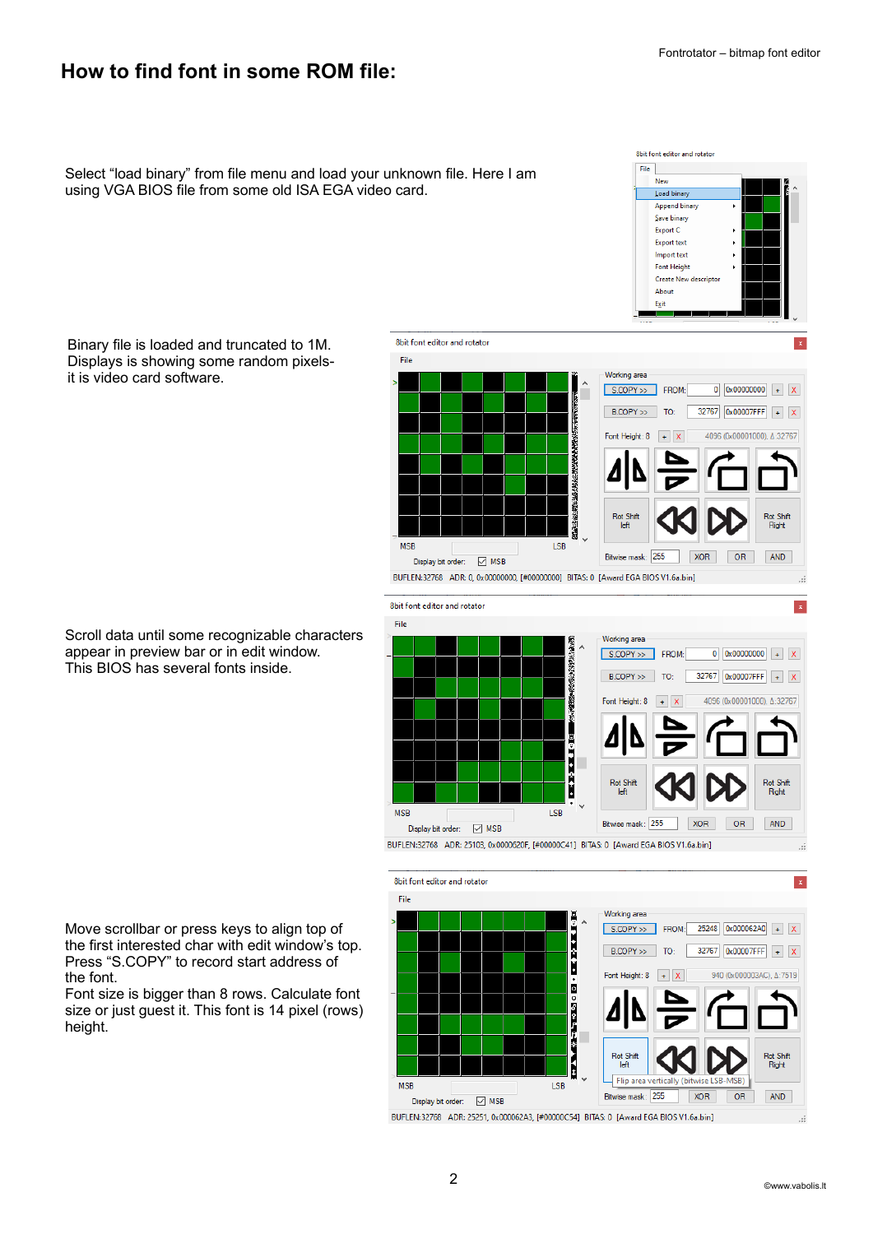8bit font editor and rotator

 $File$ New Load binary Append binary  $S$ ave binary Export C Export text Import text Font Height Create New descript About

## **How to find font in some ROM file:**

Select "load binary" from file menu and load your unknown file. Here I am using VGA BIOS file from some old ISA EGA video card.

> Exit ı. 8bit font editor and rotator  $\vert \mathbf{x} \vert$ File Working area  $0$  0x00000000 + x S.COPY >> FROM: B.COPY >> TO: 32767 0x00007FFF + X 4096 (0x00001000) A:32767 Font Height: 8 Rot Shift Right **MSR**  $1.5R$ Bitwise mask: 255 **XOR** OR AND Display bit order: ○ MSB BUFLEN:32768 ADR: 0, 0x00000000, [#00000000] BITAS: 0 [Award EGA BIOS V1.6a.bin] 8bit font editor and rotator  $\vert x \vert$ File Working area  $S$ .COPY >> FROM:  $0 | 0x000000000| + | X |$  $32767$   $\boxed{0x00007$ FFF  $+$  X  $B.COPY \gg$ TO: 4096 (0x00001000), Δ:32767 Font Height: 8  $+$   $\times$ ķ **Rot Shift** Rot Shift Right **MSB LSB** Bitwise mask: 255 **XOR** OR AND Display bit order: MSE BUFLEN:32768 ADR: 25103, 0x0000620F, [#00000C41] BITAS: 0 [Award EGA BIOS V1.6a.bin]



BUFLEN:32768 ADR: 25251, 0x000062A3, [#00000C54] BITAS: 0 [Award EGA BIOS V1.6a.bin]

Binary file is loaded and truncated to 1M. Displays is showing some random pixelsit is video card software.

Scroll data until some recognizable characters appear in preview bar or in edit window. This BIOS has several fonts inside.

Move scrollbar or press keys to align top of the first interested char with edit window's top. Press "S.COPY" to record start address of the font.

Font size is bigger than 8 rows. Calculate font size or just guest it. This font is 14 pixel (rows) height.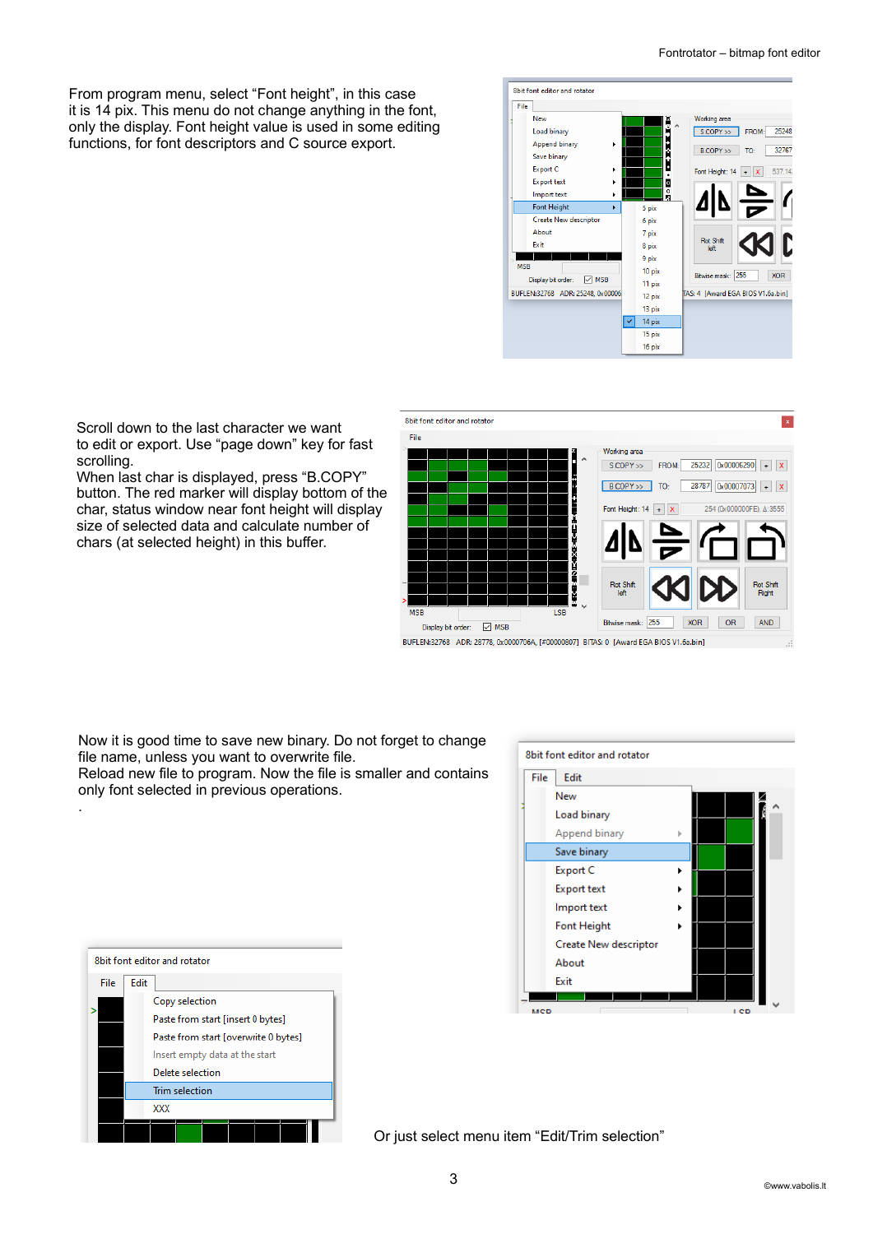From program menu, select "Font height", in this case it is 14 pix. This menu do not change anything in the font, only the display. Font height value is used in some editing functions, for font descriptors and C source export.





When last char is displayed, press "B.COPY" button. The red marker will display bottom of the char, status window near font height will display

Scroll down to the last character we want

chars (at selected height) in this buffer.

scrolling.

.

Now it is good time to save new binary. Do not forget to change

file name, unless you want to overwrite file.

Reload new file to program. Now the file is smaller and contains only font selected in previous operations.



| 8bit font editor and rotator |                                      |  |
|------------------------------|--------------------------------------|--|
| File                         | Edit                                 |  |
|                              | Copy selection                       |  |
|                              | Paste from start [insert 0 bytes]    |  |
|                              | Paste from start [overwrite 0 bytes] |  |
|                              | Insert empty data at the start       |  |
|                              | Delete selection                     |  |
|                              | <b>Trim selection</b>                |  |
|                              | xxx                                  |  |
|                              |                                      |  |

Or just select menu item "Edit/Trim selection"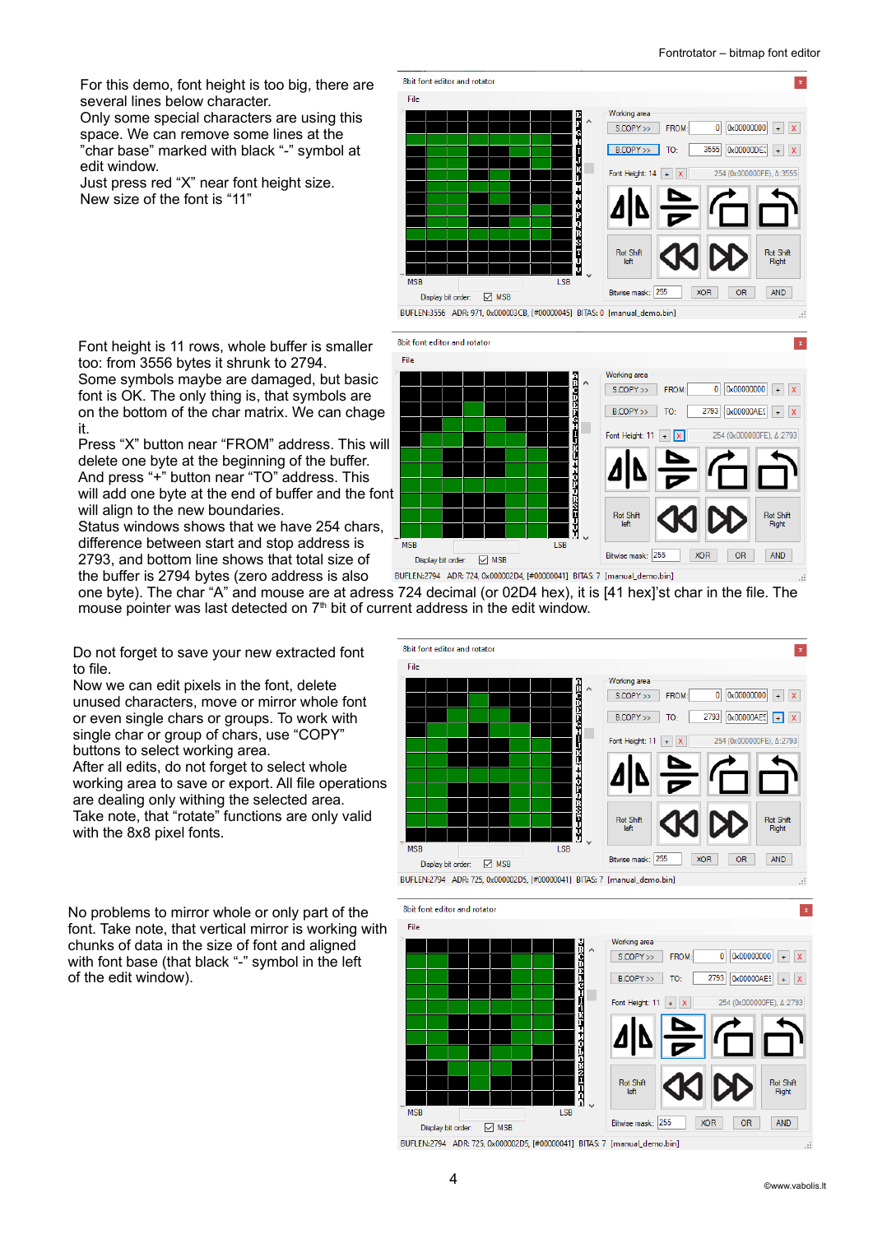For this demo, font height is too big, there are several lines below character.

Only some special characters are using this space. We can remove some lines at the "char base" marked with black "-" symbol at edit window.

Just press red "X" near font height size. New size of the font is "11"



Font height is 11 rows, whole buffer is smaller too: from 3556 bytes it shrunk to 2794. Some symbols maybe are damaged, but basic font is OK. The only thing is, that symbols are on the bottom of the char matrix. We can chage it.

Press "X" button near "FROM" address. This will delete one byte at the beginning of the buffer. And press "+" button near "TO" address. This will add one byte at the end of buffer and the font will align to the new boundaries.

Status windows shows that we have 254 chars, difference between start and stop address is 2793, and bottom line shows that total size of the buffer is 2794 bytes (zero address is also



one byte). The char "A" and mouse are at adress 724 decimal (or 02D4 hex), it is [41 hex]'st char in the file. The mouse pointer was last detected on  $7<sup>th</sup>$  bit of current address in the edit window.

Do not forget to save your new extracted font to file.

Now we can edit pixels in the font, delete unused characters, move or mirror whole font or even single chars or groups. To work with single char or group of chars, use "COPY" buttons to select working area. After all edits, do not forget to select whole working area to save or export. All file operations are dealing only withing the selected area. Take note, that "rotate" functions are only valid with the 8x8 pixel fonts.



No problems to mirror whole or only part of the font. Take note, that vertical mirror is working with chunks of data in the size of font and aligned with font base (that black "-" symbol in the left of the edit window).





 $\overline{\mathbf{x}}$